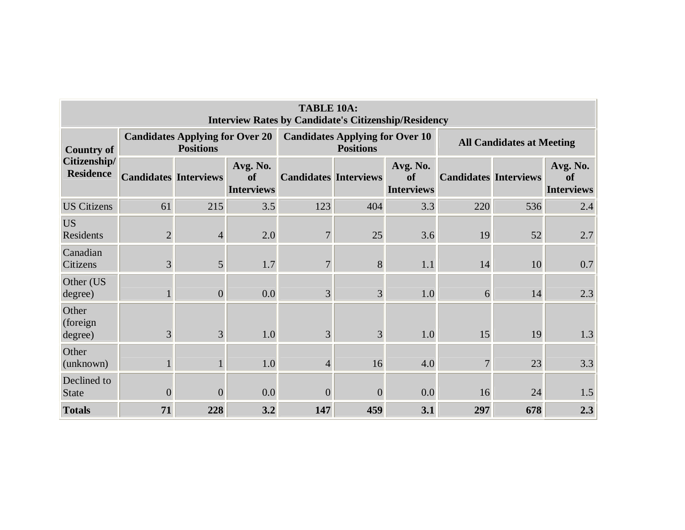| <b>TABLE 10A:</b><br><b>Interview Rates by Candidate's Citizenship/Residency</b> |                              |                                                            |                                     |                              |                                                            |                                     |                                  |     |                                     |  |  |  |
|----------------------------------------------------------------------------------|------------------------------|------------------------------------------------------------|-------------------------------------|------------------------------|------------------------------------------------------------|-------------------------------------|----------------------------------|-----|-------------------------------------|--|--|--|
| <b>Country of</b><br>Citizenship/<br><b>Residence</b>                            |                              | <b>Candidates Applying for Over 20</b><br><b>Positions</b> |                                     |                              | <b>Candidates Applying for Over 10</b><br><b>Positions</b> |                                     | <b>All Candidates at Meeting</b> |     |                                     |  |  |  |
|                                                                                  | <b>Candidates Interviews</b> |                                                            | Avg. No.<br>of<br><b>Interviews</b> | <b>Candidates Interviews</b> |                                                            | Avg. No.<br>of<br><b>Interviews</b> | <b>Candidates Interviews</b>     |     | Avg. No.<br>of<br><b>Interviews</b> |  |  |  |
| <b>US Citizens</b>                                                               | 61                           | 215                                                        | 3.5                                 | 123                          | 404                                                        | 3.3                                 | 220                              | 536 | 2.4                                 |  |  |  |
| <b>US</b><br>Residents                                                           | $\overline{2}$               | $\overline{4}$                                             | 2.0                                 | $\overline{7}$               | 25                                                         | 3.6                                 | 19                               | 52  | 2.7                                 |  |  |  |
| Canadian<br>Citizens                                                             | $\overline{3}$               | 5 <sup>1</sup>                                             | 1.7                                 | $\overline{7}$               | 8                                                          | 1.1                                 | 14                               | 10  | 0.7                                 |  |  |  |
| Other (US<br>degree)                                                             |                              | $\boldsymbol{0}$                                           | 0.0                                 | 3                            | 3                                                          | 1.0                                 | 6                                | 14  | 2.3                                 |  |  |  |
| Other<br>(foreign)<br>degree)                                                    | $\overline{3}$               | 3                                                          | 1.0                                 | 3                            | 3                                                          | 1.0                                 | 15                               | 19  | 1.3                                 |  |  |  |
| Other<br>(unknown)                                                               |                              | 1                                                          | 1.0                                 | $\overline{4}$               | 16                                                         | 4.0                                 | $\overline{7}$                   | 23  | 3.3                                 |  |  |  |
| Declined to<br>State                                                             | $\overline{0}$               | $\overline{0}$                                             | 0.0                                 | $\overline{0}$               | $\overline{0}$                                             | 0.0                                 | 16                               | 24  | 1.5                                 |  |  |  |
| <b>Totals</b>                                                                    | 71                           | 228                                                        | 3.2                                 | 147                          | 459                                                        | 3.1                                 | 297                              | 678 | 2.3                                 |  |  |  |